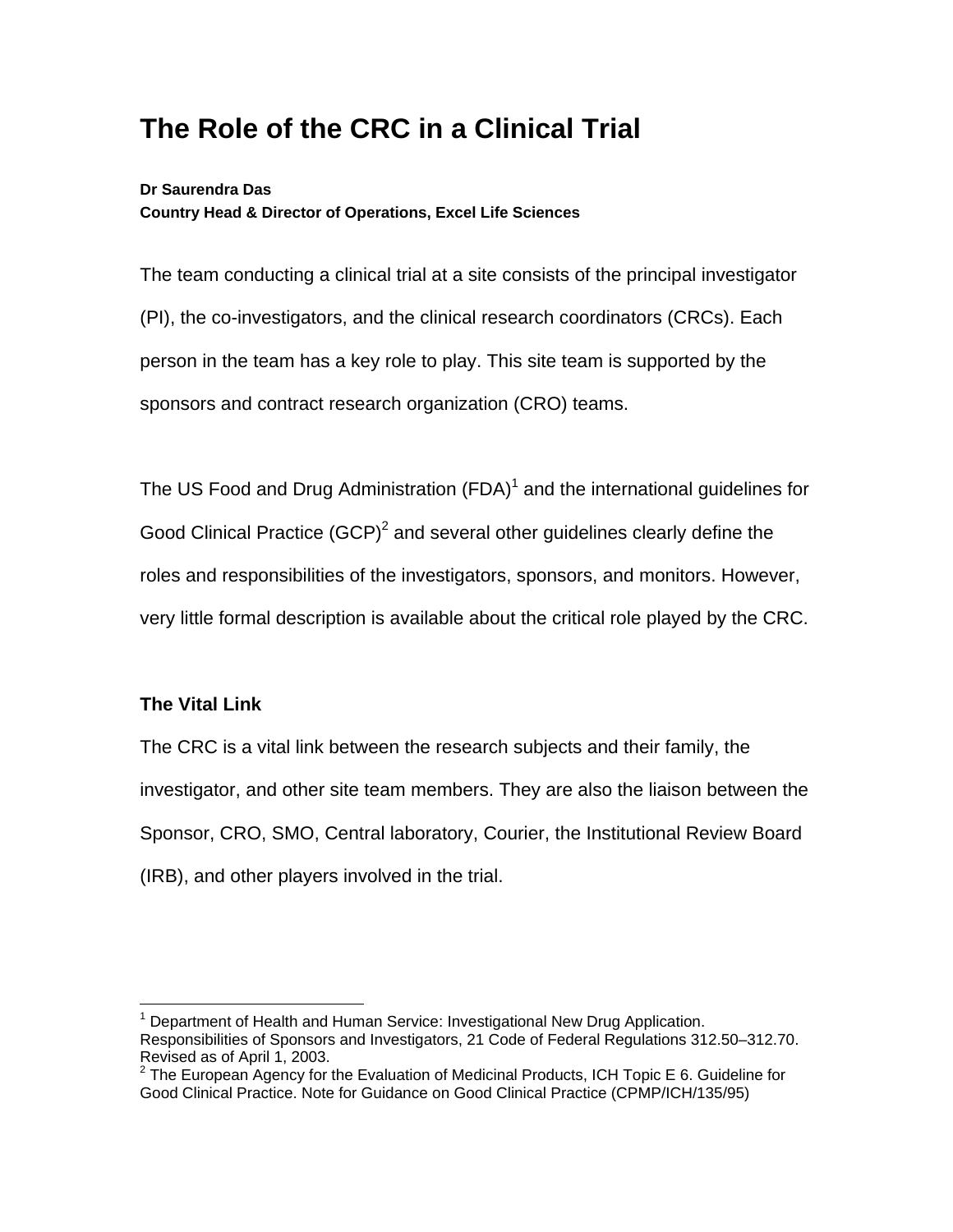# **The Role of the CRC in a Clinical Trial**

## **Dr Saurendra Das Country Head & Director of Operations, Excel Life Sciences**

The team conducting a clinical trial at a site consists of the principal investigator (PI), the co-investigators, and the clinical research coordinators (CRCs). Each person in the team has a key role to play. This site team is supported by the sponsors and contract research organization (CRO) teams.

The US Food and Drug Administration (FDA) $<sup>1</sup>$  and the international guidelines for</sup> Good Clinical Practice  $(GCP)^2$  and several other guidelines clearly define the roles and responsibilities of the investigators, sponsors, and monitors. However, very little formal description is available about the critical role played by the CRC.

## **The Vital Link**

The CRC is a vital link between the research subjects and their family, the investigator, and other site team members. They are also the liaison between the Sponsor, CRO, SMO, Central laboratory, Courier, the Institutional Review Board (IRB), and other players involved in the trial.

 $\overline{a}$ <sup>1</sup> Department of Health and Human Service: Investigational New Drug Application. Responsibilities of Sponsors and Investigators, 21 Code of Federal Regulations 312.50–312.70. Revised as of April 1, 2003.

 $2$  The European Agency for the Evaluation of Medicinal Products, ICH Topic E 6. Guideline for Good Clinical Practice. Note for Guidance on Good Clinical Practice (CPMP/ICH/135/95)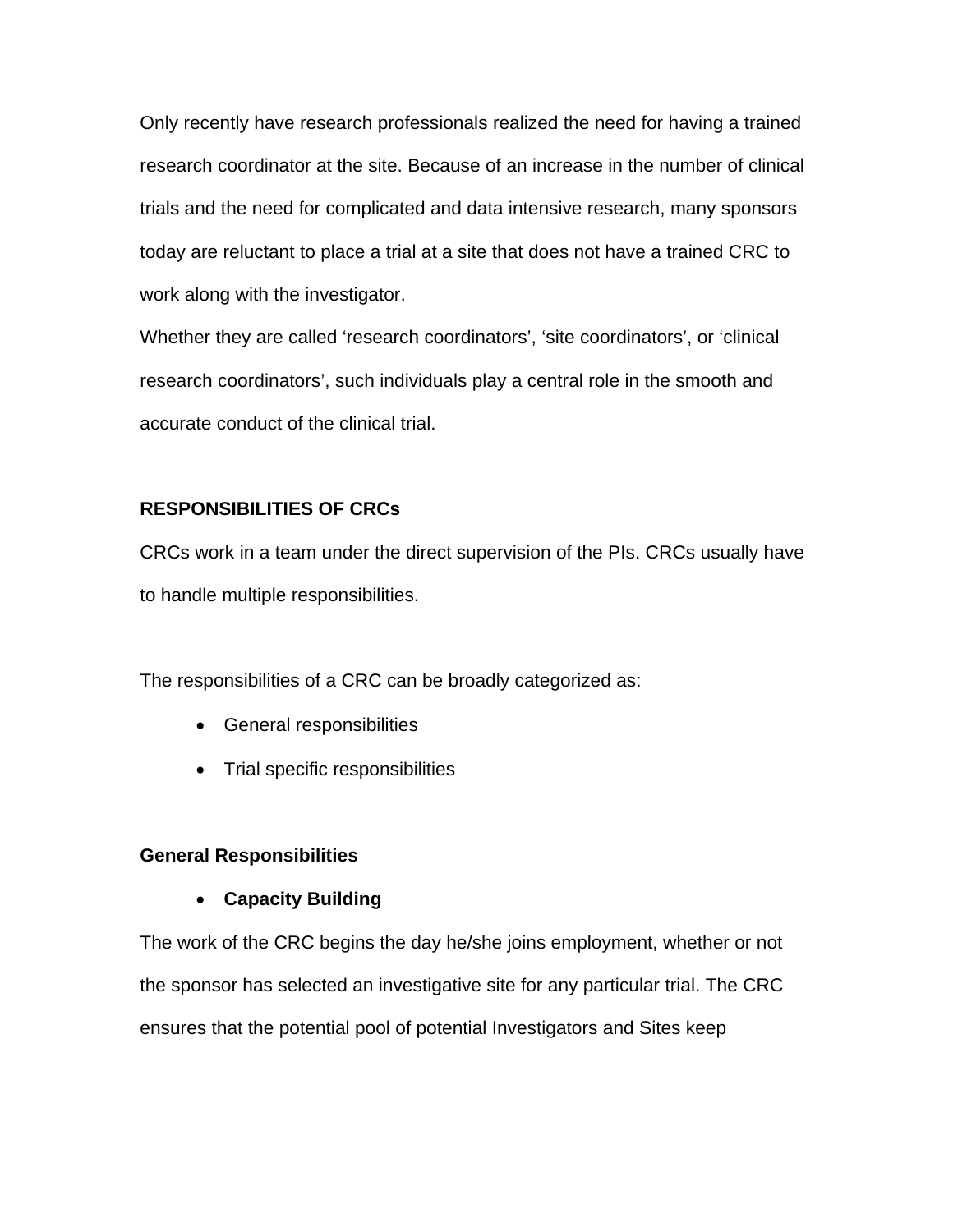Only recently have research professionals realized the need for having a trained research coordinator at the site. Because of an increase in the number of clinical trials and the need for complicated and data intensive research, many sponsors today are reluctant to place a trial at a site that does not have a trained CRC to work along with the investigator.

Whether they are called 'research coordinators', 'site coordinators', or 'clinical research coordinators', such individuals play a central role in the smooth and accurate conduct of the clinical trial.

## **RESPONSIBILITIES OF CRCs**

CRCs work in a team under the direct supervision of the PIs. CRCs usually have to handle multiple responsibilities.

The responsibilities of a CRC can be broadly categorized as:

- General responsibilities
- Trial specific responsibilities

### **General Responsibilities**

• **Capacity Building** 

The work of the CRC begins the day he/she joins employment, whether or not the sponsor has selected an investigative site for any particular trial. The CRC ensures that the potential pool of potential Investigators and Sites keep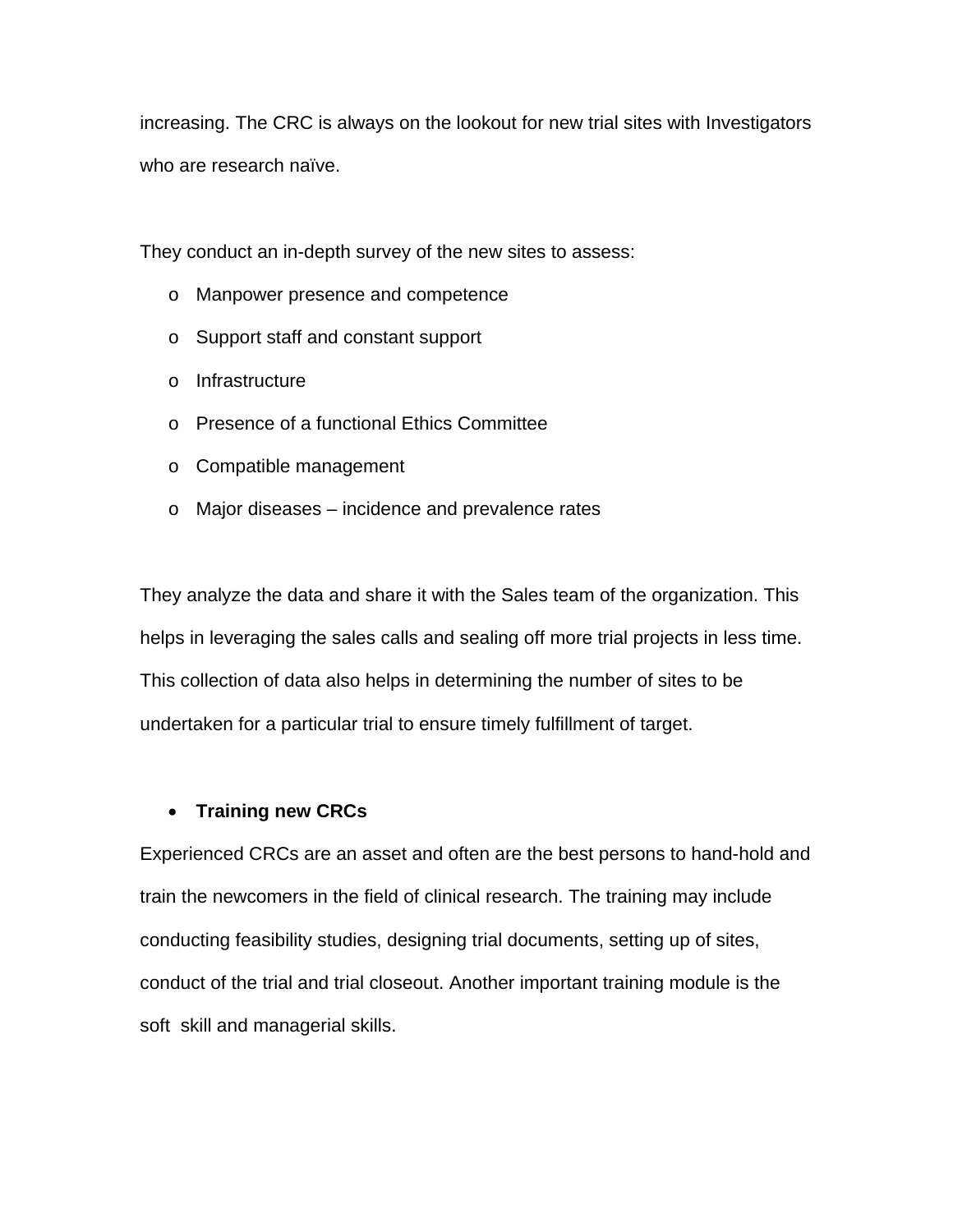increasing. The CRC is always on the lookout for new trial sites with Investigators who are research naïve.

They conduct an in-depth survey of the new sites to assess:

- o Manpower presence and competence
- o Support staff and constant support
- o Infrastructure
- o Presence of a functional Ethics Committee
- o Compatible management
- o Major diseases incidence and prevalence rates

They analyze the data and share it with the Sales team of the organization. This helps in leveraging the sales calls and sealing off more trial projects in less time. This collection of data also helps in determining the number of sites to be undertaken for a particular trial to ensure timely fulfillment of target.

### • **Training new CRCs**

Experienced CRCs are an asset and often are the best persons to hand-hold and train the newcomers in the field of clinical research. The training may include conducting feasibility studies, designing trial documents, setting up of sites, conduct of the trial and trial closeout. Another important training module is the soft skill and managerial skills.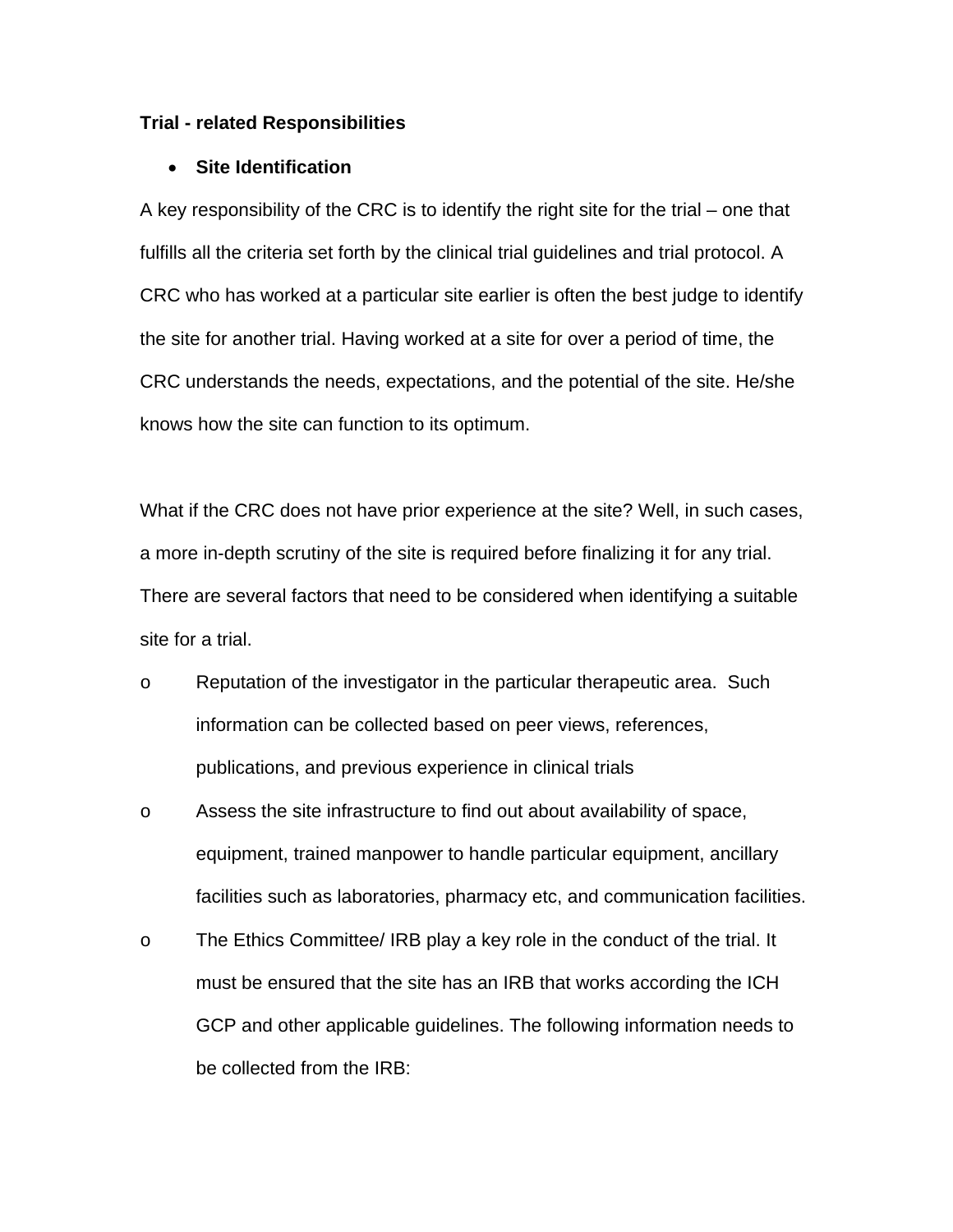#### **Trial - related Responsibilities**

#### • **Site Identification**

A key responsibility of the CRC is to identify the right site for the trial – one that fulfills all the criteria set forth by the clinical trial guidelines and trial protocol. A CRC who has worked at a particular site earlier is often the best judge to identify the site for another trial. Having worked at a site for over a period of time, the CRC understands the needs, expectations, and the potential of the site. He/she knows how the site can function to its optimum.

What if the CRC does not have prior experience at the site? Well, in such cases, a more in-depth scrutiny of the site is required before finalizing it for any trial. There are several factors that need to be considered when identifying a suitable site for a trial.

- o Reputation of the investigator in the particular therapeutic area. Such information can be collected based on peer views, references, publications, and previous experience in clinical trials
- o Assess the site infrastructure to find out about availability of space, equipment, trained manpower to handle particular equipment, ancillary facilities such as laboratories, pharmacy etc, and communication facilities.
- o The Ethics Committee/ IRB play a key role in the conduct of the trial. It must be ensured that the site has an IRB that works according the ICH GCP and other applicable guidelines. The following information needs to be collected from the IRB: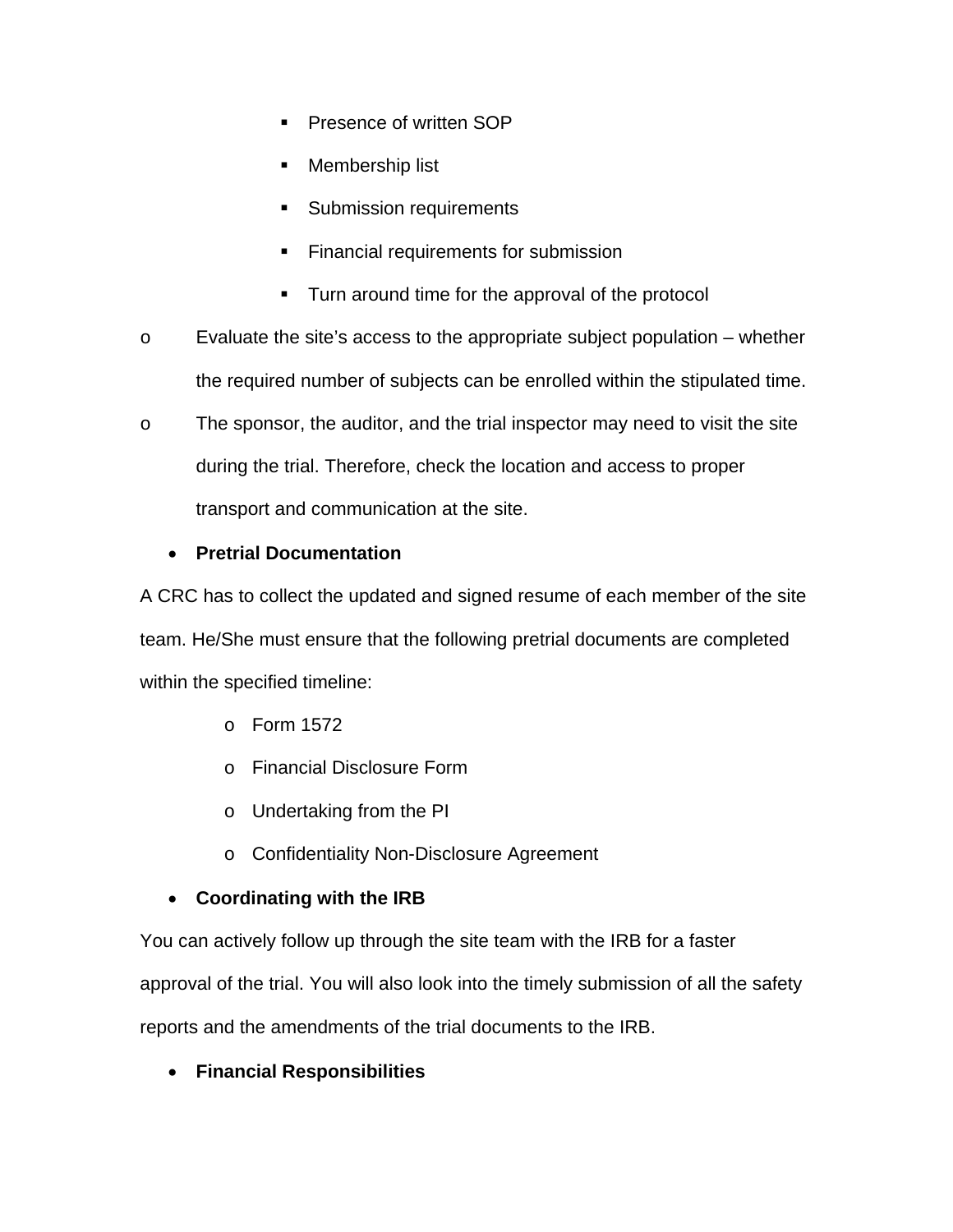- **Presence of written SOP**
- **Membership list**
- **Submission requirements**
- **Financial requirements for submission**
- Turn around time for the approval of the protocol
- o Evaluate the site's access to the appropriate subject population whether the required number of subjects can be enrolled within the stipulated time.
- o The sponsor, the auditor, and the trial inspector may need to visit the site during the trial. Therefore, check the location and access to proper transport and communication at the site.

# • **Pretrial Documentation**

A CRC has to collect the updated and signed resume of each member of the site team. He/She must ensure that the following pretrial documents are completed within the specified timeline:

- o Form 1572
- o Financial Disclosure Form
- o Undertaking from the PI
- o Confidentiality Non-Disclosure Agreement

# • **Coordinating with the IRB**

You can actively follow up through the site team with the IRB for a faster approval of the trial. You will also look into the timely submission of all the safety

reports and the amendments of the trial documents to the IRB.

# • **Financial Responsibilities**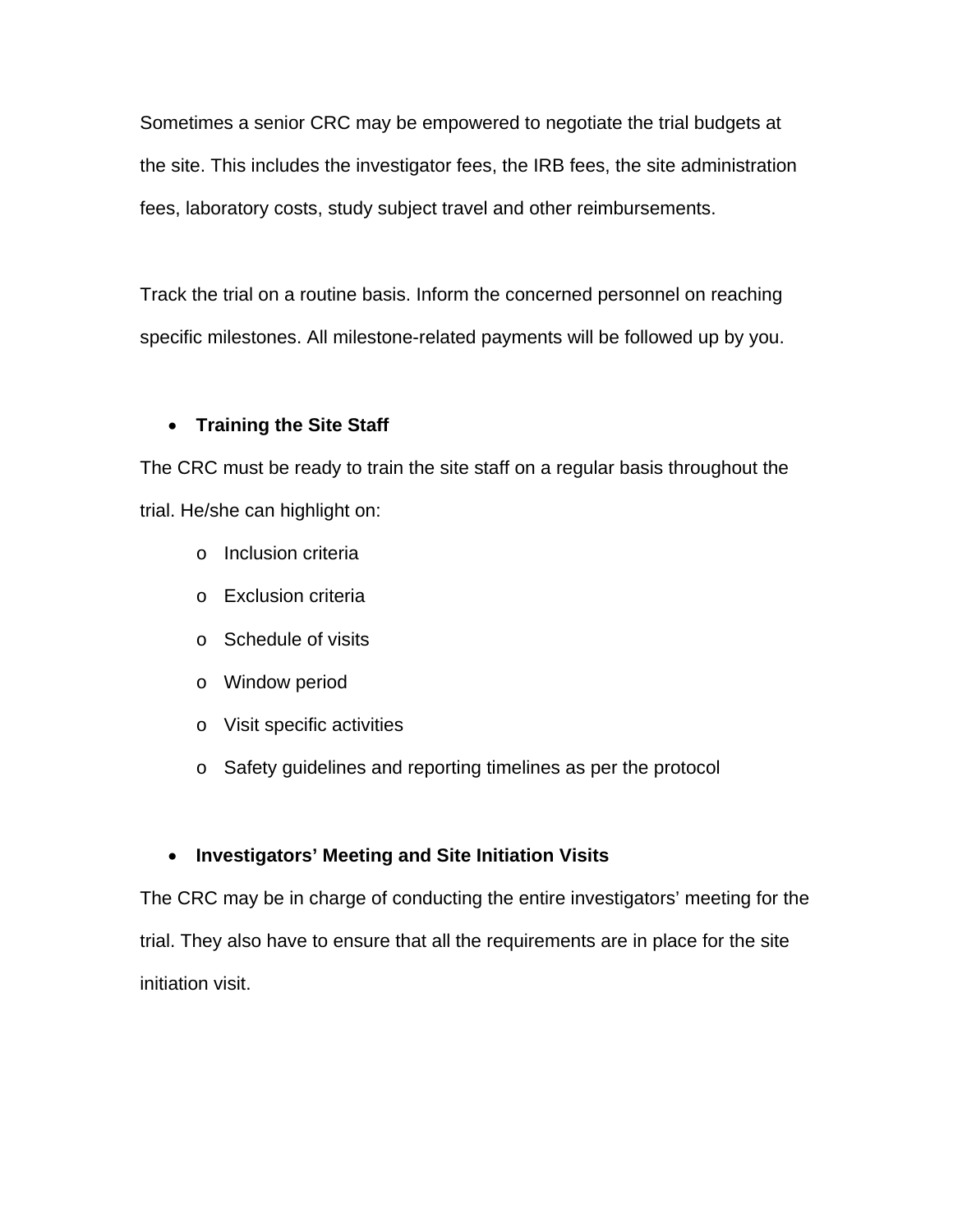Sometimes a senior CRC may be empowered to negotiate the trial budgets at the site. This includes the investigator fees, the IRB fees, the site administration fees, laboratory costs, study subject travel and other reimbursements.

Track the trial on a routine basis. Inform the concerned personnel on reaching specific milestones. All milestone-related payments will be followed up by you.

## • **Training the Site Staff**

The CRC must be ready to train the site staff on a regular basis throughout the trial. He/she can highlight on:

- o Inclusion criteria
- o Exclusion criteria
- o Schedule of visits
- o Window period
- o Visit specific activities
- o Safety guidelines and reporting timelines as per the protocol

## • **Investigators' Meeting and Site Initiation Visits**

The CRC may be in charge of conducting the entire investigators' meeting for the trial. They also have to ensure that all the requirements are in place for the site initiation visit.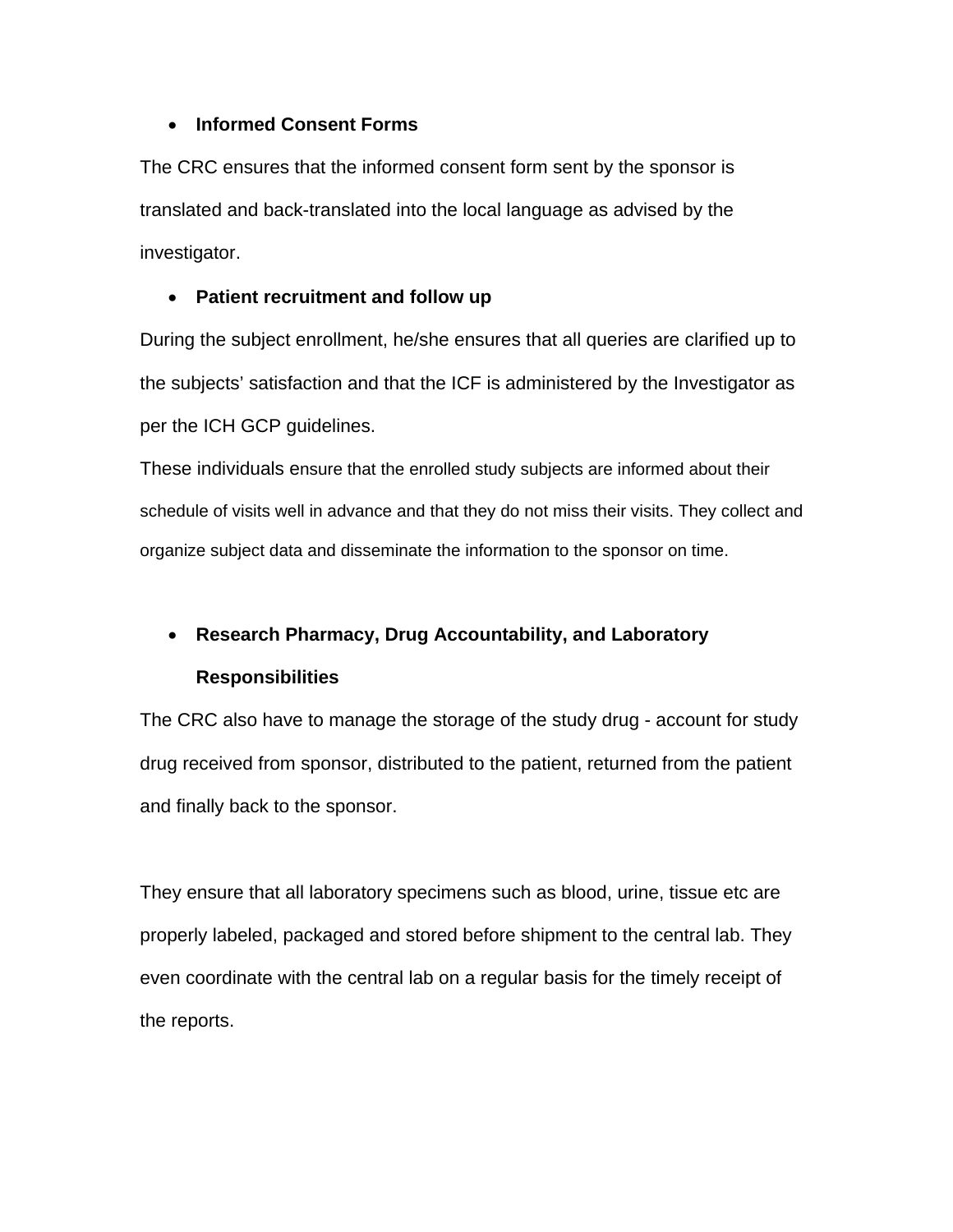## • **Informed Consent Forms**

The CRC ensures that the informed consent form sent by the sponsor is translated and back-translated into the local language as advised by the investigator.

## • **Patient recruitment and follow up**

During the subject enrollment, he/she ensures that all queries are clarified up to the subjects' satisfaction and that the ICF is administered by the Investigator as per the ICH GCP guidelines.

These individuals ensure that the enrolled study subjects are informed about their schedule of visits well in advance and that they do not miss their visits. They collect and organize subject data and disseminate the information to the sponsor on time.

# • **Research Pharmacy, Drug Accountability, and Laboratory Responsibilities**

The CRC also have to manage the storage of the study drug - account for study drug received from sponsor, distributed to the patient, returned from the patient and finally back to the sponsor.

They ensure that all laboratory specimens such as blood, urine, tissue etc are properly labeled, packaged and stored before shipment to the central lab. They even coordinate with the central lab on a regular basis for the timely receipt of the reports.